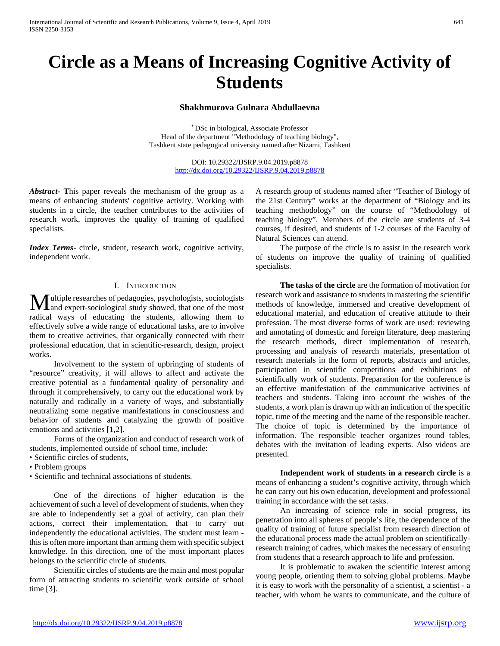# **Circle as a Means of Increasing Cognitive Activity of Students**

#### **Shakhmurova Gulnara Abdullaevna**

\* DSc in biological, Associate Professor Head of the department "Methodology of teaching biology", Tashkent state pedagogical university named after Nizami, Tashkent

> DOI: 10.29322/IJSRP.9.04.2019.p8878 [http://dx.doi.org/10.29322/IJSRP.9.04.2019.p8878](http://dx.doi.org/10.29322/IJSRP.9.03.2019.p8878)

*Abstract***- T**his paper reveals the mechanism of the group as a means of enhancing students' cognitive activity. Working with students in a circle, the teacher contributes to the activities of research work, improves the quality of training of qualified specialists.

*Index Terms*- circle, student, research work, cognitive activity, independent work.

### I. INTRODUCTION

ultiple researches of pedagogies, psychologists, sociologists **M** ultiple researches of pedagogies, psychologists, sociologists<br>and expert-sociological study showed, that one of the most radical ways of educating the students, allowing them to effectively solve a wide range of educational tasks, are to involve them to creative activities, that organically connected with their professional education, that in scientific-research, design, project works.

 Involvement to the system of upbringing of students of "resource" creativity, it will allows to affect and activate the creative potential as a fundamental quality of personality and through it comprehensively, to carry out the educational work by naturally and radically in a variety of ways, and substantially neutralizing some negative manifestations in consciousness and behavior of students and catalyzing the growth of positive emotions and activities [1,2].

 Forms of the organization and conduct of research work of students, implemented outside of school time, include:

- Scientific circles of students,
- Problem groups

• Scientific and technical associations of students.

 One of the directions of higher education is the achievement of such a level of development of students, when they are able to independently set a goal of activity, can plan their actions, correct their implementation, that to carry out independently the educational activities. The student must learn this is often more important than arming them with specific subject knowledge. In this direction, one of the most important places belongs to the scientific circle of students.

 Scientific circles of students are the main and most popular form of attracting students to scientific work outside of school time [3].

A research group of students named after "Teacher of Biology of the 21st Century" works at the department of "Biology and its teaching methodology" on the course of "Methodology of teaching biology". Members of the circle are students of 3-4 courses, if desired, and students of 1-2 courses of the Faculty of Natural Sciences can attend.

 The purpose of the circle is to assist in the research work of students on improve the quality of training of qualified specialists.

 **The tasks of the circle** are the formation of motivation for research work and assistance to students in mastering the scientific methods of knowledge, immersed and creative development of educational material, and education of creative attitude to their profession. The most diverse forms of work are used: reviewing and annotating of domestic and foreign literature, deep mastering the research methods, direct implementation of research, processing and analysis of research materials, presentation of research materials in the form of reports, abstracts and articles, participation in scientific competitions and exhibitions of scientifically work of students. Preparation for the conference is an effective manifestation of the communicative activities of teachers and students. Taking into account the wishes of the students, a work plan is drawn up with an indication of the specific topic, time of the meeting and the name of the responsible teacher. The choice of topic is determined by the importance of information. The responsible teacher organizes round tables, debates with the invitation of leading experts. Also videos are presented.

 **Independent work of students in a research circle** is a means of enhancing a student's cognitive activity, through which he can carry out his own education, development and professional training in accordance with the set tasks.

 An increasing of science role in social progress, its penetration into all spheres of people's life, the dependence of the quality of training of future specialist from research direction of the educational process made the actual problem on scientificallyresearch training of cadres, which makes the necessary of ensuring from students that a research approach to life and profession.

 It is problematic to awaken the scientific interest among young people, orienting them to solving global problems. Maybe it is easy to work with the personality of a scientist, a scientist - a teacher, with whom he wants to communicate, and the culture of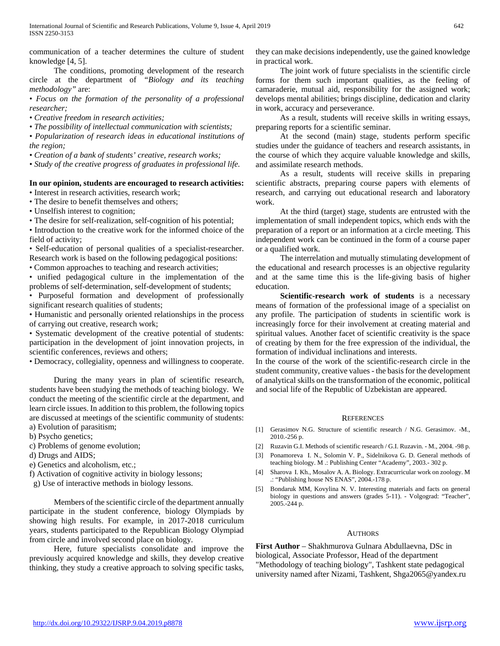communication of a teacher determines the culture of student knowledge [4, 5].

 The conditions, promoting development of the research circle at the department of *"Biology and its teaching methodology"* are:

*• Focus on the formation of the personality of a professional researcher;*

*• Creative freedom in research activities;*

*• The possibility of intellectual communication with scientists;*

*• Popularization of research ideas in educational institutions of the region;*

*• Creation of a bank of students' creative, research works;*

*• Study of the creative progress of graduates in professional life.*

## **In our opinion, students are encouraged to research activities:**

• Interest in research activities, research work;

• The desire to benefit themselves and others;

• Unselfish interest to cognition;

• The desire for self-realization, self-cognition of his potential;

• Introduction to the creative work for the informed choice of the field of activity;

• Self-education of personal qualities of a specialist-researcher. Research work is based on the following pedagogical positions:

• Common approaches to teaching and research activities;

• unified pedagogical culture in the implementation of the problems of self-determination, self-development of students;

• Purposeful formation and development of professionally significant research qualities of students;

• Humanistic and personally oriented relationships in the process of carrying out creative, research work;

• Systematic development of the creative potential of students: participation in the development of joint innovation projects, in scientific conferences, reviews and others;

• Democracy, collegiality, openness and willingness to cooperate.

 During the many years in plan of scientific research, students have been studying the methods of teaching biology. We conduct the meeting of the scientific circle at the department, and learn circle issues. In addition to this problem, the following topics are discussed at meetings of the scientific community of students: a) Evolution of parasitism;

b) Psycho genetics;

c) Problems of genome evolution;

d) Drugs and AIDS;

e) Genetics and alcoholism, etc.;

f) Activation of cognitive activity in biology lessons;

g) Use of interactive methods in biology lessons.

 Members of the scientific circle of the department annually participate in the student conference, biology Olympiads by showing high results. For example, in 2017-2018 curriculum years, students participated to the Republican Biology Olympiad from circle and involved second place on biology.

 Here, future specialists consolidate and improve the previously acquired knowledge and skills, they develop creative thinking, they study a creative approach to solving specific tasks, they can make decisions independently, use the gained knowledge in practical work.

 The joint work of future specialists in the scientific circle forms for them such important qualities, as the feeling of camaraderie, mutual aid, responsibility for the assigned work; develops mental abilities; brings discipline, dedication and clarity in work, accuracy and perseverance.

 As a result, students will receive skills in writing essays, preparing reports for a scientific seminar.

 At the second (main) stage, students perform specific studies under the guidance of teachers and research assistants, in the course of which they acquire valuable knowledge and skills, and assimilate research methods.

 As a result, students will receive skills in preparing scientific abstracts, preparing course papers with elements of research, and carrying out educational research and laboratory work.

 At the third (target) stage, students are entrusted with the implementation of small independent topics, which ends with the preparation of a report or an information at a circle meeting. This independent work can be continued in the form of a course paper or a qualified work.

 The interrelation and mutually stimulating development of the educational and research processes is an objective regularity and at the same time this is the life-giving basis of higher education.

 **Scientific-research work of students** is a necessary means of formation of the professional image of a specialist on any profile. The participation of students in scientific work is increasingly force for their involvement at creating material and spiritual values. Another facet of scientific creativity is the space of creating by them for the free expression of the individual, the formation of individual inclinations and interests.

In the course of the work of the scientific-research circle in the student community, creative values - the basis for the development of analytical skills on the transformation of the economic, political and social life of the Republic of Uzbekistan are appeared.

#### **REFERENCES**

- [1] Gerasimov N.G. Structure of scientific research / N.G. Gerasimov. -M., 2010.-256 p.
- [2] Ruzavin G.I. Methods of scientific research / G.I. Ruzavin. M., 2004. -98 p.
- [3] Ponamoreva I. N., Solomin V. P., Sidelnikova G. D. General methods of teaching biology. M .: Publishing Center "Academy", 2003.- 302 p.
- [4] Sharova I. Kh., Mosalov A. A. Biology. Extracurricular work on zoology. M .: "Publishing house NS ENAS", 2004.-178 p.
- [5] Bondaruk MM, Kovylina N. V. Interesting materials and facts on general biology in questions and answers (grades 5-11). - Volgograd: "Teacher", 2005.-244 p.

## **AUTHORS**

**First Author** – Shakhmurova Gulnara Abdullaevna, DSc in biological, Associate Professor, Head of the department "Methodology of teaching biology", Tashkent state pedagogical university named after Nizami, Tashkent, Shga2065@yandex.ru